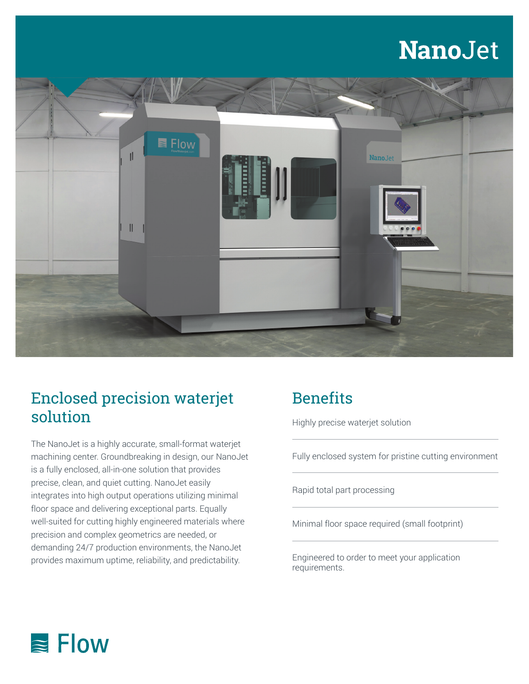# NanoJet



## Enclosed precision waterjet solution

The NanoJet is a highly accurate, small-format waterjet machining center. Groundbreaking in design, our NanoJet is a fully enclosed, all-in-one solution that provides precise, clean, and quiet cutting. NanoJet easily integrates into high output operations utilizing minimal floor space and delivering exceptional parts. Equally well-suited for cutting highly engineered materials where precision and complex geometrics are needed, or demanding 24/7 production environments, the NanoJet provides maximum uptime, reliability, and predictability.

# Benefits

Highly precise waterjet solution

Fully enclosed system for pristine cutting environment

Rapid total part processing

Minimal floor space required (small footprint)

Engineered to order to meet your application requirements.